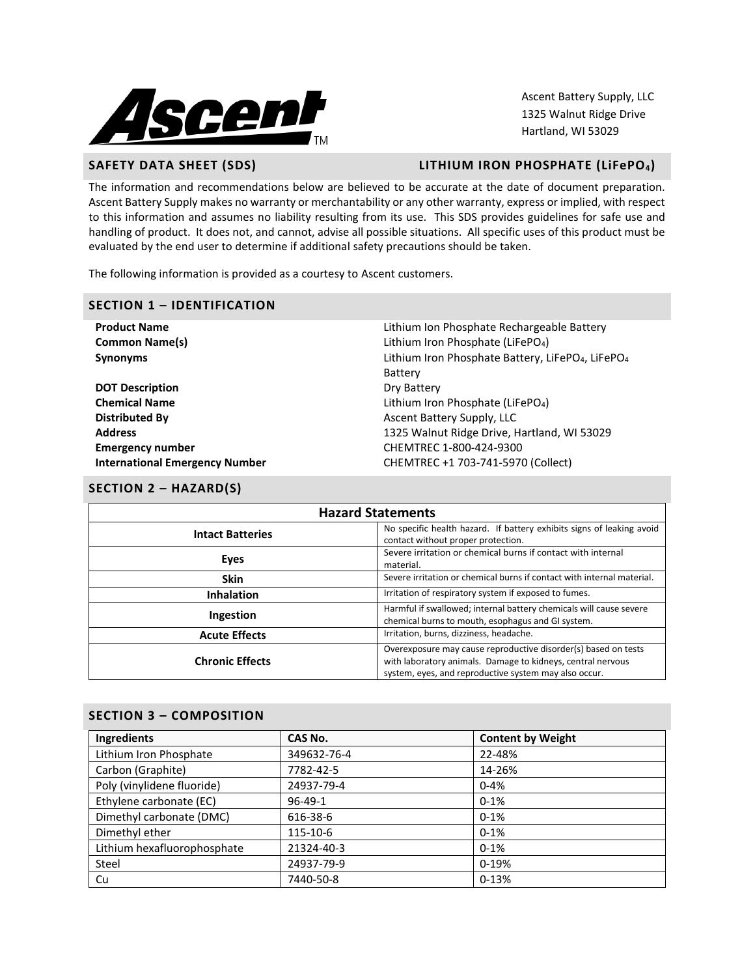

Ascent Battery Supply, LLC 1325 Walnut Ridge Drive Hartland, WI 53029

# **SAFETY DATA SHEET (SDS) LITHIUM IRON PHOSPHATE (LiFePO4)**

The information and recommendations below are believed to be accurate at the date of document preparation. Ascent Battery Supply makes no warranty or merchantability or any other warranty, express or implied, with respect to this information and assumes no liability resulting from its use. This SDS provides guidelines for safe use and handling of product. It does not, and cannot, advise all possible situations. All specific uses of this product must be evaluated by the end user to determine if additional safety precautions should be taken.

The following information is provided as a courtesy to Ascent customers.

#### **SECTION 1 – IDENTIFICATION**

| <b>Product Name</b>                   | Lithium Ion Phosphate Rechargeable Battery                                |
|---------------------------------------|---------------------------------------------------------------------------|
| <b>Common Name(s)</b>                 | Lithium Iron Phosphate (LiFePO <sub>4</sub> )                             |
| <b>Synonyms</b>                       | Lithium Iron Phosphate Battery, LiFePO <sub>4</sub> , LiFePO <sub>4</sub> |
|                                       | Battery                                                                   |
| <b>DOT Description</b>                | Dry Battery                                                               |
| <b>Chemical Name</b>                  | Lithium Iron Phosphate (LiFePO <sub>4</sub> )                             |
| <b>Distributed By</b>                 | Ascent Battery Supply, LLC                                                |
| <b>Address</b>                        | 1325 Walnut Ridge Drive, Hartland, WI 53029                               |
| <b>Emergency number</b>               | CHEMTREC 1-800-424-9300                                                   |
| <b>International Emergency Number</b> | CHEMTREC +1 703-741-5970 (Collect)                                        |
|                                       |                                                                           |

#### **SECTION 2 – HAZARD(S)**

| <b>Hazard Statements</b>                                                                                                               |                                                                                                                                                                                        |  |  |
|----------------------------------------------------------------------------------------------------------------------------------------|----------------------------------------------------------------------------------------------------------------------------------------------------------------------------------------|--|--|
| No specific health hazard. If battery exhibits signs of leaking avoid<br><b>Intact Batteries</b><br>contact without proper protection. |                                                                                                                                                                                        |  |  |
| Eyes                                                                                                                                   | Severe irritation or chemical burns if contact with internal<br>material.                                                                                                              |  |  |
| <b>Skin</b>                                                                                                                            | Severe irritation or chemical burns if contact with internal material.                                                                                                                 |  |  |
| <b>Inhalation</b>                                                                                                                      | Irritation of respiratory system if exposed to fumes.                                                                                                                                  |  |  |
| Harmful if swallowed; internal battery chemicals will cause severe<br>Ingestion<br>chemical burns to mouth, esophagus and GI system.   |                                                                                                                                                                                        |  |  |
| <b>Acute Effects</b>                                                                                                                   | Irritation, burns, dizziness, headache.                                                                                                                                                |  |  |
| <b>Chronic Effects</b>                                                                                                                 | Overexposure may cause reproductive disorder(s) based on tests<br>with laboratory animals. Damage to kidneys, central nervous<br>system, eyes, and reproductive system may also occur. |  |  |

# **SECTION 3 – COMPOSITION**

| Ingredients                 | CAS No.       | <b>Content by Weight</b> |
|-----------------------------|---------------|--------------------------|
| Lithium Iron Phosphate      | 349632-76-4   | 22-48%                   |
| Carbon (Graphite)           | 7782-42-5     | 14-26%                   |
| Poly (vinylidene fluoride)  | 24937-79-4    | $0 - 4%$                 |
| Ethylene carbonate (EC)     | $96 - 49 - 1$ | $0-1%$                   |
| Dimethyl carbonate (DMC)    | 616-38-6      | $0-1%$                   |
| Dimethyl ether              | 115-10-6      | $0 - 1%$                 |
| Lithium hexafluorophosphate | 21324-40-3    | $0-1%$                   |
| Steel                       | 24937-79-9    | $0-19%$                  |
| Cu                          | 7440-50-8     | $0-13%$                  |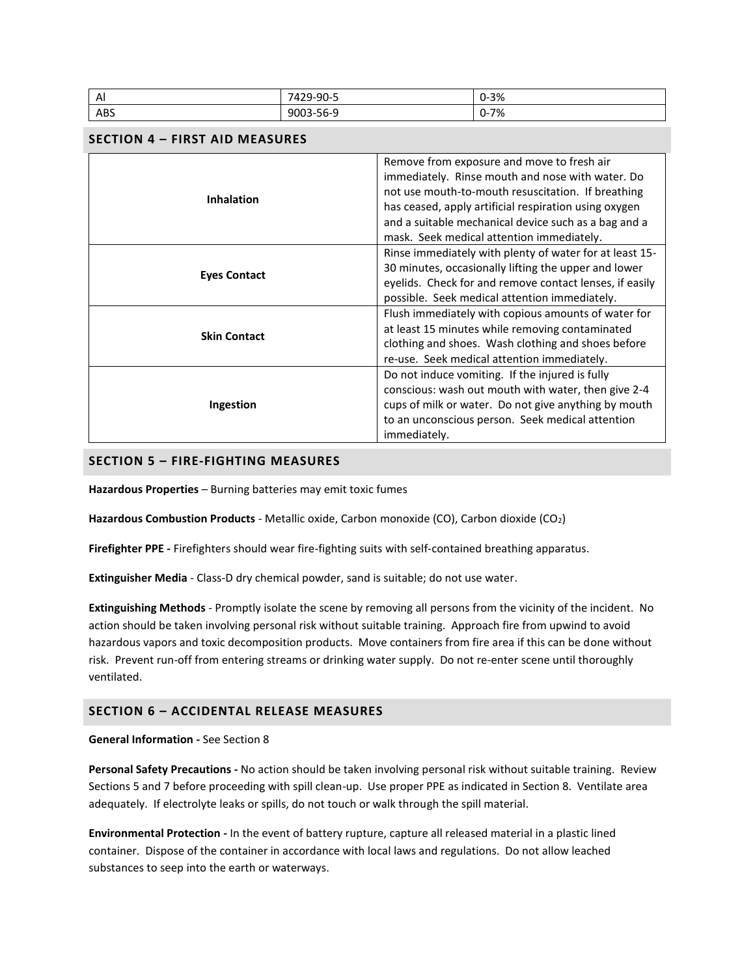| Al                                    | 7429-90-5                                                                                                                                                                                                   |                                                                                                                                                                                                                                                                                                                    | $0 - 3%$ |  |
|---------------------------------------|-------------------------------------------------------------------------------------------------------------------------------------------------------------------------------------------------------------|--------------------------------------------------------------------------------------------------------------------------------------------------------------------------------------------------------------------------------------------------------------------------------------------------------------------|----------|--|
| <b>ABS</b>                            | 9003-56-9                                                                                                                                                                                                   |                                                                                                                                                                                                                                                                                                                    | $0 - 7%$ |  |
| <b>SECTION 4 - FIRST AID MEASURES</b> |                                                                                                                                                                                                             |                                                                                                                                                                                                                                                                                                                    |          |  |
| <b>Inhalation</b>                     |                                                                                                                                                                                                             | Remove from exposure and move to fresh air<br>immediately. Rinse mouth and nose with water. Do<br>not use mouth-to-mouth resuscitation. If breathing<br>has ceased, apply artificial respiration using oxygen<br>and a suitable mechanical device such as a bag and a<br>mask. Seek medical attention immediately. |          |  |
| <b>Eyes Contact</b>                   |                                                                                                                                                                                                             | Rinse immediately with plenty of water for at least 15-<br>30 minutes, occasionally lifting the upper and lower<br>eyelids. Check for and remove contact lenses, if easily<br>possible. Seek medical attention immediately.                                                                                        |          |  |
| <b>Skin Contact</b>                   | Flush immediately with copious amounts of water for<br>at least 15 minutes while removing contaminated<br>clothing and shoes. Wash clothing and shoes before<br>re-use. Seek medical attention immediately. |                                                                                                                                                                                                                                                                                                                    |          |  |
| Ingestion                             |                                                                                                                                                                                                             | Do not induce vomiting. If the injured is fully<br>conscious: wash out mouth with water, then give 2-4<br>cups of milk or water. Do not give anything by mouth<br>to an unconscious person. Seek medical attention<br>immediately.                                                                                 |          |  |

# **SECTION 5 – FIRE-FIGHTING MEASURES**

**Hazardous Properties** – Burning batteries may emit toxic fumes

**Hazardous Combustion Products** - Metallic oxide, Carbon monoxide (CO), Carbon dioxide (CO2)

**Firefighter PPE -** Firefighters should wear fire-fighting suits with self-contained breathing apparatus.

**Extinguisher Media** - Class-D dry chemical powder, sand is suitable; do not use water.

**Extinguishing Methods** - Promptly isolate the scene by removing all persons from the vicinity of the incident. No action should be taken involving personal risk without suitable training. Approach fire from upwind to avoid hazardous vapors and toxic decomposition products. Move containers from fire area if this can be done without risk. Prevent run-off from entering streams or drinking water supply. Do not re-enter scene until thoroughly ventilated.

# **SECTION 6 – ACCIDENTAL RELEASE MEASURES**

#### **General Information -** See Section 8

**Personal Safety Precautions -** No action should be taken involving personal risk without suitable training. Review Sections 5 and 7 before proceeding with spill clean-up. Use proper PPE as indicated in Section 8. Ventilate area adequately. If electrolyte leaks or spills, do not touch or walk through the spill material.

**Environmental Protection -** In the event of battery rupture, capture all released material in a plastic lined container. Dispose of the container in accordance with local laws and regulations. Do not allow leached substances to seep into the earth or waterways.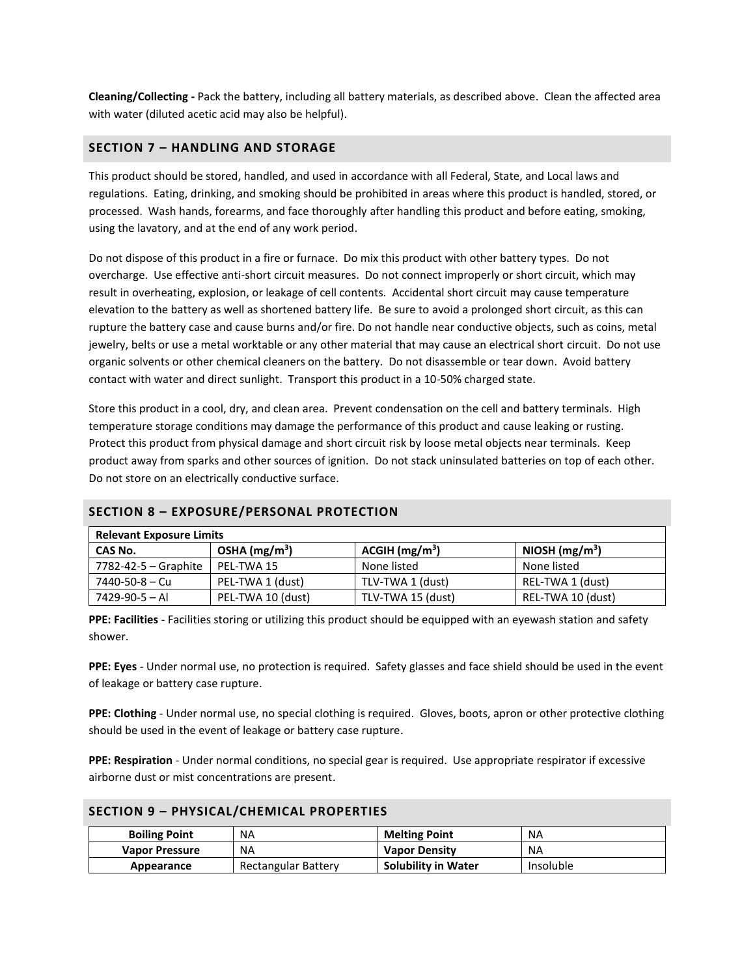**Cleaning/Collecting -** Pack the battery, including all battery materials, as described above. Clean the affected area with water (diluted acetic acid may also be helpful).

# **SECTION 7 – HANDLING AND STORAGE**

This product should be stored, handled, and used in accordance with all Federal, State, and Local laws and regulations. Eating, drinking, and smoking should be prohibited in areas where this product is handled, stored, or processed. Wash hands, forearms, and face thoroughly after handling this product and before eating, smoking, using the lavatory, and at the end of any work period.

Do not dispose of this product in a fire or furnace. Do mix this product with other battery types. Do not overcharge. Use effective anti-short circuit measures. Do not connect improperly or short circuit, which may result in overheating, explosion, or leakage of cell contents. Accidental short circuit may cause temperature elevation to the battery as well as shortened battery life. Be sure to avoid a prolonged short circuit, as this can rupture the battery case and cause burns and/or fire. Do not handle near conductive objects, such as coins, metal jewelry, belts or use a metal worktable or any other material that may cause an electrical short circuit. Do not use organic solvents or other chemical cleaners on the battery. Do not disassemble or tear down. Avoid battery contact with water and direct sunlight. Transport this product in a 10-50% charged state.

Store this product in a cool, dry, and clean area. Prevent condensation on the cell and battery terminals. High temperature storage conditions may damage the performance of this product and cause leaking or rusting. Protect this product from physical damage and short circuit risk by loose metal objects near terminals. Keep product away from sparks and other sources of ignition. Do not stack uninsulated batteries on top of each other. Do not store on an electrically conductive surface.

| SECTION 8 - EXPOSURE/PERSONAL PROTECTION<br><b>Relevant Exposure Limits</b> |                   |                   |                   |  |  |
|-----------------------------------------------------------------------------|-------------------|-------------------|-------------------|--|--|
| OSHA $(mg/m3)$<br>ACGIH (mg/m <sup>3</sup> )<br>NIOSH $(mg/m3)$<br>CAS No.  |                   |                   |                   |  |  |
| 7782-42-5 – Graphite                                                        | PEL-TWA 15        | None listed       | None listed       |  |  |
| 7440-50-8 - Cu                                                              | PEL-TWA 1 (dust)  | TLV-TWA 1 (dust)  | REL-TWA 1 (dust)  |  |  |
| 7429-90-5 - Al                                                              | PEL-TWA 10 (dust) | TLV-TWA 15 (dust) | REL-TWA 10 (dust) |  |  |

# **SECTION 8 – EXPOSURE/PERSONAL PROTECTION**

**PPE: Facilities** - Facilities storing or utilizing this product should be equipped with an eyewash station and safety shower.

**PPE: Eyes** - Under normal use, no protection is required. Safety glasses and face shield should be used in the event of leakage or battery case rupture.

**PPE: Clothing** - Under normal use, no special clothing is required. Gloves, boots, apron or other protective clothing should be used in the event of leakage or battery case rupture.

**PPE: Respiration** - Under normal conditions, no special gear is required. Use appropriate respirator if excessive airborne dust or mist concentrations are present.

| <b>Boiling Point</b> | <b>NA</b>           | <b>Melting Point</b>       | <b>NA</b> |
|----------------------|---------------------|----------------------------|-----------|
| Vapor Pressure       | NA                  | <b>Vapor Density</b>       | ΝA        |
| Appearance           | Rectangular Battery | <b>Solubility in Water</b> | Insoluble |

#### **SECTION 9 – PHYSICAL/CHEMICAL PROPERTIES**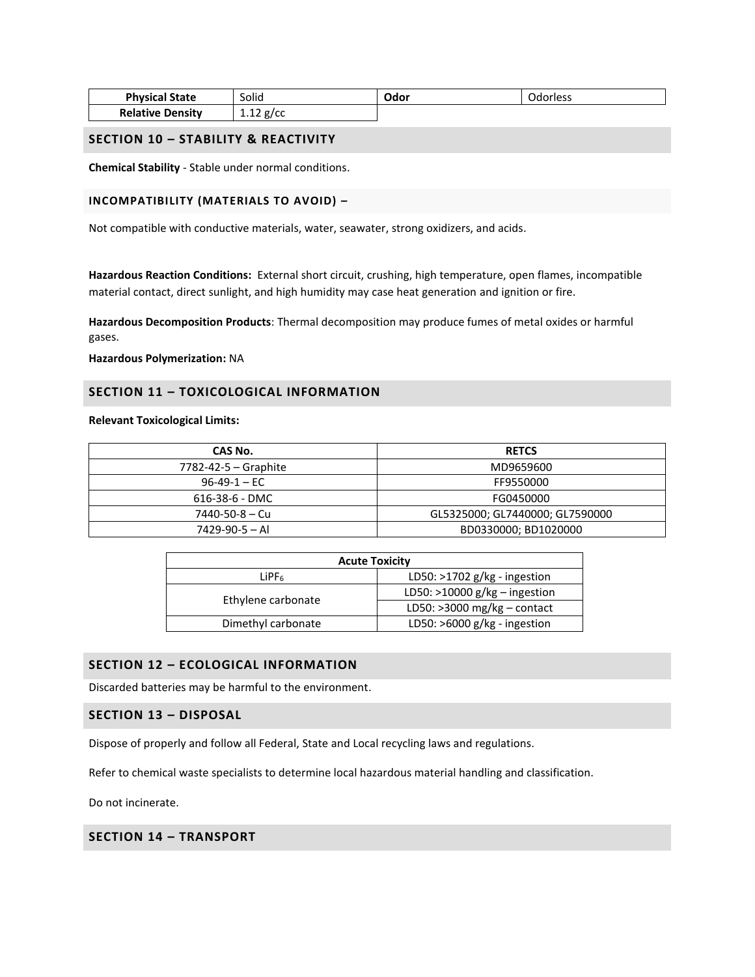| <b>Physical State</b>   | Solid       | Odor | Odorless |
|-------------------------|-------------|------|----------|
| <b>Relative Density</b> | $1.12$ g/cc |      |          |

#### **SECTION 10 – STABILITY & REACTIVITY**

**Chemical Stability** - Stable under normal conditions.

#### **INCOMPATIBILITY (MATERIALS TO AVOID) –**

Not compatible with conductive materials, water, seawater, strong oxidizers, and acids.

**Hazardous Reaction Conditions:** External short circuit, crushing, high temperature, open flames, incompatible material contact, direct sunlight, and high humidity may case heat generation and ignition or fire.

**Hazardous Decomposition Products**: Thermal decomposition may produce fumes of metal oxides or harmful gases.

**Hazardous Polymerization:** NA

#### **SECTION 11 – TOXICOLOGICAL INFORMATION**

#### **Relevant Toxicological Limits:**

| CAS No.                    | <b>RETCS</b>                    |  |
|----------------------------|---------------------------------|--|
| $7782 - 42 - 5 -$ Graphite | MD9659600                       |  |
| $96-49-1 - EC$             | FF9550000                       |  |
| 616-38-6 - DMC             | FG0450000                       |  |
| 7440-50-8 - Cu             | GL5325000; GL7440000; GL7590000 |  |
| $7429 - 90 - 5 - Al$       | BD0330000; BD1020000            |  |

| <b>Acute Toxicity</b>                               |                                 |  |
|-----------------------------------------------------|---------------------------------|--|
| LD50: $>1702$ g/kg - ingestion<br>LiPF <sub>6</sub> |                                 |  |
|                                                     | LD50: $>10000$ g/kg - ingestion |  |
| Ethylene carbonate                                  | LD50: $>3000$ mg/kg – contact   |  |
| Dimethyl carbonate                                  | LD50: $>6000$ g/kg - ingestion  |  |

# **SECTION 12 – ECOLOGICAL INFORMATION**

Discarded batteries may be harmful to the environment.

# **SECTION 13 – DISPOSAL**

Dispose of properly and follow all Federal, State and Local recycling laws and regulations.

Refer to chemical waste specialists to determine local hazardous material handling and classification.

Do not incinerate.

# **SECTION 14 – TRANSPORT**